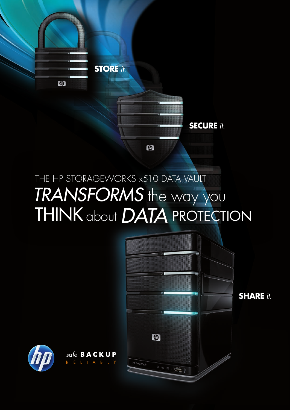

# THE HP STORAGEWORKS x510 DATA VAULT *TRANSFORMS* the way you **THINK** about **DATA** PROTECTION



**SHARE** *it.* 



safe **BACKUP** L | A B L Y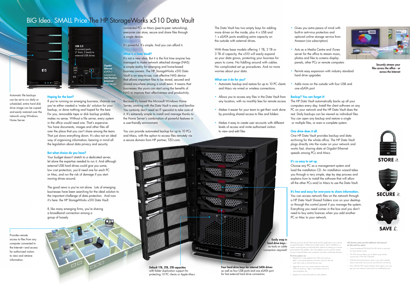### Hoping for the best?

If you're running an emerging business, chances are you've either created a 'make do' solution for your backup, or done nothing and hoped for the best. For you, removable tape or disk backup probbly makes no sense. Without a file server, every system in the office would need one. That's expensive. You have documents, images and other files all over the place that you can't share among the team. That just slows everything down. It's also not an ideal way of organising information, bearing in mind all the legislation about data privacy and security.

### But what choice do you have?

Your budget doesn't stretch to a dedicated server, let alone the expertise needed to run it. And although external USB hard drives could give you some, low cost protection, you'd need one for each PC or Mac, and run the risk of damage if you start moving drives around.

It's not a new idea. But it is the first time anyone has managed to make network attached storage (NAS) a simple reality for emerging and home-based business owners. The HP StorageWorks x510 Data Vault is an easy-to-use, cost effective NAS device that allows important files to be stored, secured and shared anywhere among a small team. It means that businesses like yours can start using the benefits of NAS to improve their effectiveness and productivity.

The good news is you're not alone. Lots of emerging businesses have been searching for the ideal solution to the important challenge of data protection. And now it's here: the HP StorageWorks x510 Data Vault.

If, like many emerging firms, you're sharing a broadband connection among a group of loosely

connected PCs or Macs (peer-to-peer networking), everyone can store, secure and share files through a single device.

It's powerful. It's simple. And you can afford it.

### What is a Data Vault?

• Acts as a Media Centre and iTunes server for the office to stream music, photos and files to screens display panels, other PCs or remote computers

• Permits easy expansion with industry standard

Because it's based the Microsoft Windows Home Server, working with the Data Vault is easy and familiar. You certainly don't need an IT specialist to take care of it. It's extremely simple to install and manage thanks to the Home Server's combination of powerful features in a user-friendly environment.

You can provide automated backup for up to 10 PCs and Macs, with the option to access files remotely via a secure domain from HP partner, TZO.com.

The Data Vault has two empty bays for adding more drives on the inside, plus 4 x USB and 1 x eSATA ports enabling extra capacity on the outside with external drives.

With three base models offering 1 TB, 2 TB or 3 TB of capacity, the x510 will easily expand as your data grows, protecting your business for years to come. No fiddling around with cables. No complicated set up procedures. And no more worries about your data.

### What can it do for you?

- Automatic backup and restore for up to 10 PC clients and Macs via wired or wireless connections.
- Allows you to access any files in the Data Vault from any location, with no monthly fees for remote access
- Makes it easier for your team to get their work done by providing shared access to files and folders
- Makes it easy to create user accounts with different levels of access and invite authorised visitors to view and edit files

• Gives you extra peace of mind with built-in anti-virus protection and optional online storage service from Amazon (via subscription)

- Some broadband ISPs block Port 80 which is required for easy remote acces
- The TZO service allows you to obtain easy remote access even if Port 80 is blocked.
- With the Microsoft domain name, if you don't already have a Microsoft Live account, you'll have to set that up.
- Plus, with the TZO custom domain name option, you can get your own domain name (such as, smithfamily.com).

• Adds more on the outside with four USB and

## one eSATA port

### Backup? You can forget it!



The HP Data Vault automatically backs up all your computers every day. Install the client software on any PC on your network and the HP Data Vault does the rest. Daily backups can be viewed as individual files. You can open any backup and restore a single or multiple files, or even a complete system.

### One drive does it all.

One HP Data Vault provides backup and data archiving for the whole office. The HP Data Vault plugs directly into the router on your network and works fast, sharing data at Gigabit Ethernet speeds among PCs and Macs.

### It's so easy to set up.

Choose any PC as a management system and load the installation CD. An installation wizard takes you through a very simple, step by step process and explains how to install the software that will allow all the other PCs and/or Macs to use the Data Vault.

### It's free and easy for everyone to share information.

You can access network files on the network through a HP Data Vault Shared Folders icon on your desktop or through the control panel if you manage the system. Everything you need comes in the box and you don't need to buy extra licences when you add another PC or Mac to your network.

## BIG Idea. SMALL Price.The HP StorageWorks x510 Data Vault

Automatic file backups can be set to run daily or scheduled; entire hard disk drive image can be copied and easily restored over the network using Windows Home Server.

protecting 10 PC clients or Apple Macs.

Provides remote access to files from any computer connected to the Internet—and access for authorized visitors to view and retrieve information.

1Remote access to the HP Data Vault and the applications can only be accessed through a 128-bit secure https session. Upon installation, a simple wizard guides you through three options for setting up a secure, personalized web address. The web address can be used for remote access to shared folders and computers and other multimedia features.



https://yourname.hphome.com) that is free for the first

- The three options are: Register for a web address from TZO.com (such as,
- mps.// yourname.nphome.com/ marris n
- Upgrade to your own custom domain name from
- cost-competitive fee.
- Register for a free Microsoft Live web address.



TZO.com (such as,, https://yourname.com) for a

TZO domain names provide additional value beyond the Microsoft Live option:





as well as four USB ports and one eSATA port for fast external hard drive connection.

- 
- 
- hard drive upgrades

Securely stream your files across the office - or across the Internet